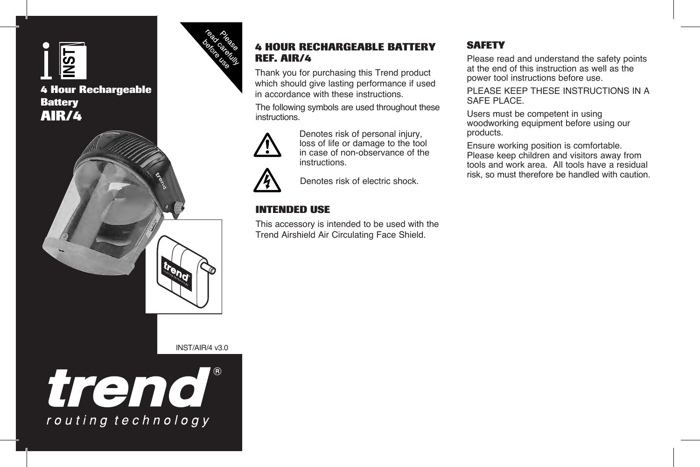

# **4 Hour Rechargeable Battery AIR/4**



### **4 HOUR RECHARGEABLE BATTERY REF. AIR/4**

Thank you for purchasing this Trend product which should give lasting performance if used in accordance with these instructions.

The following symbols are used throughout these instructions.



Denotes risk of personal injury, loss of life or damage to the tool in case of non-observance of the instructions.

Denotes risk of electric shock.

## **INTENDED USE**

This accessory is intended to be used with the Trend Airshield Air Circulating Face Shield.

## **SAFETY**

Please read and understand the safety points at the end of this instruction as well as the power tool instructions before use.

PLEASE KEEP THESE INSTRUCTIONS IN A SAFF PLACE.

Users must be competent in using woodworking equipment before using our products.

Ensure working position is comfortable. Please keep children and visitors away from tools and work area. All tools have a residual risk, so must therefore be handled with caution.

INST/AIR/4 v3.0